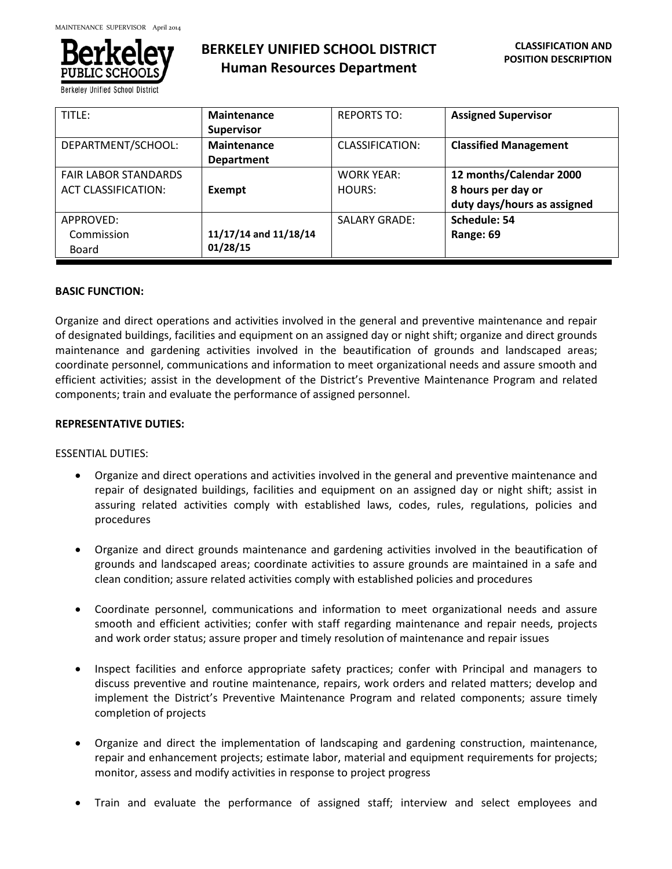

**Berkeley Unified School Distric** 

# **BERKELEY UNIFIED SCHOOL DISTRICT Human Resources Department**

| TITLE:                                                    | <b>Maintenance</b><br><b>Supervisor</b> | <b>REPORTS TO:</b>          | <b>Assigned Supervisor</b>                                                   |
|-----------------------------------------------------------|-----------------------------------------|-----------------------------|------------------------------------------------------------------------------|
| DEPARTMENT/SCHOOL:                                        | <b>Maintenance</b><br><b>Department</b> | CLASSIFICATION:             | <b>Classified Management</b>                                                 |
| <b>FAIR LABOR STANDARDS</b><br><b>ACT CLASSIFICATION:</b> | Exempt                                  | <b>WORK YEAR:</b><br>HOURS: | 12 months/Calendar 2000<br>8 hours per day or<br>duty days/hours as assigned |
| APPROVED:<br>Commission<br>Board                          | 11/17/14 and 11/18/14<br>01/28/15       | <b>SALARY GRADE:</b>        | Schedule: 54<br>Range: 69                                                    |

#### **BASIC FUNCTION:**

Organize and direct operations and activities involved in the general and preventive maintenance and repair of designated buildings, facilities and equipment on an assigned day or night shift; organize and direct grounds maintenance and gardening activities involved in the beautification of grounds and landscaped areas; coordinate personnel, communications and information to meet organizational needs and assure smooth and efficient activities; assist in the development of the District's Preventive Maintenance Program and related components; train and evaluate the performance of assigned personnel.

#### **REPRESENTATIVE DUTIES:**

#### ESSENTIAL DUTIES:

- Organize and direct operations and activities involved in the general and preventive maintenance and repair of designated buildings, facilities and equipment on an assigned day or night shift; assist in assuring related activities comply with established laws, codes, rules, regulations, policies and procedures
- Organize and direct grounds maintenance and gardening activities involved in the beautification of grounds and landscaped areas; coordinate activities to assure grounds are maintained in a safe and clean condition; assure related activities comply with established policies and procedures
- Coordinate personnel, communications and information to meet organizational needs and assure smooth and efficient activities; confer with staff regarding maintenance and repair needs, projects and work order status; assure proper and timely resolution of maintenance and repair issues
- Inspect facilities and enforce appropriate safety practices; confer with Principal and managers to discuss preventive and routine maintenance, repairs, work orders and related matters; develop and implement the District's Preventive Maintenance Program and related components; assure timely completion of projects
- Organize and direct the implementation of landscaping and gardening construction, maintenance, repair and enhancement projects; estimate labor, material and equipment requirements for projects; monitor, assess and modify activities in response to project progress
- Train and evaluate the performance of assigned staff; interview and select employees and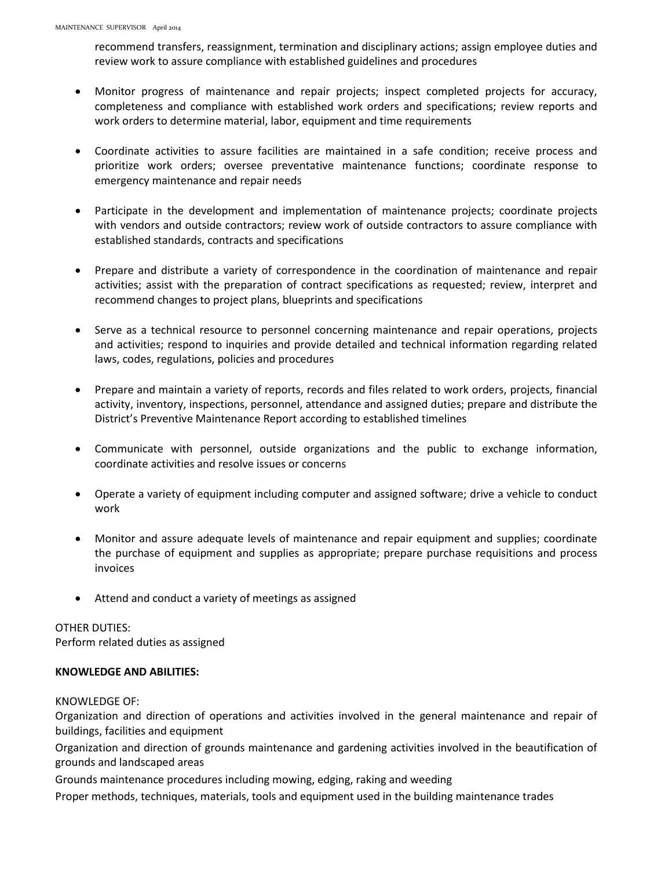recommend transfers, reassignment, termination and disciplinary actions; assign employee duties and review work to assure compliance with established guidelines and procedures

- Monitor progress of maintenance and repair projects; inspect completed projects for accuracy, completeness and compliance with established work orders and specifications; review reports and work orders to determine material, labor, equipment and time requirements
- Coordinate activities to assure facilities are maintained in a safe condition; receive process and prioritize work orders; oversee preventative maintenance functions; coordinate response to emergency maintenance and repair needs
- Participate in the development and implementation of maintenance projects; coordinate projects with vendors and outside contractors; review work of outside contractors to assure compliance with established standards, contracts and specifications
- Prepare and distribute a variety of correspondence in the coordination of maintenance and repair activities; assist with the preparation of contract specifications as requested; review, interpret and recommend changes to project plans, blueprints and specifications
- Serve as a technical resource to personnel concerning maintenance and repair operations, projects and activities; respond to inquiries and provide detailed and technical information regarding related laws, codes, regulations, policies and procedures
- Prepare and maintain a variety of reports, records and files related to work orders, projects, financial activity, inventory, inspections, personnel, attendance and assigned duties; prepare and distribute the District's Preventive Maintenance Report according to established timelines
- Communicate with personnel, outside organizations and the public to exchange information, coordinate activities and resolve issues or concerns
- Operate a variety of equipment including computer and assigned software; drive a vehicle to conduct work
- Monitor and assure adequate levels of maintenance and repair equipment and supplies; coordinate the purchase of equipment and supplies as appropriate; prepare purchase requisitions and process invoices
- Attend and conduct a variety of meetings as assigned

# OTHER DUTIES:

Perform related duties as assigned

## **KNOWLEDGE AND ABILITIES:**

#### KNOWLEDGE OF:

Organization and direction of operations and activities involved in the general maintenance and repair of buildings, facilities and equipment

Organization and direction of grounds maintenance and gardening activities involved in the beautification of grounds and landscaped areas

Grounds maintenance procedures including mowing, edging, raking and weeding

Proper methods, techniques, materials, tools and equipment used in the building maintenance trades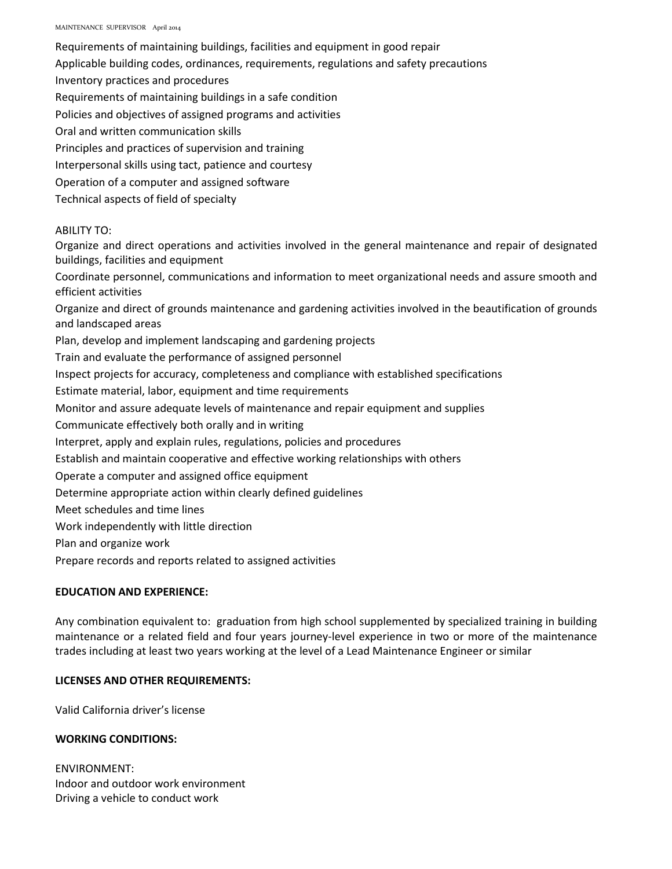Requirements of maintaining buildings, facilities and equipment in good repair

Applicable building codes, ordinances, requirements, regulations and safety precautions

Inventory practices and procedures

Requirements of maintaining buildings in a safe condition

Policies and objectives of assigned programs and activities

Oral and written communication skills

Principles and practices of supervision and training

Interpersonal skills using tact, patience and courtesy

Operation of a computer and assigned software

Technical aspects of field of specialty

#### ABILITY TO:

Organize and direct operations and activities involved in the general maintenance and repair of designated buildings, facilities and equipment

Coordinate personnel, communications and information to meet organizational needs and assure smooth and efficient activities

Organize and direct of grounds maintenance and gardening activities involved in the beautification of grounds and landscaped areas

Plan, develop and implement landscaping and gardening projects

Train and evaluate the performance of assigned personnel

Inspect projects for accuracy, completeness and compliance with established specifications

Estimate material, labor, equipment and time requirements

Monitor and assure adequate levels of maintenance and repair equipment and supplies

Communicate effectively both orally and in writing

Interpret, apply and explain rules, regulations, policies and procedures

Establish and maintain cooperative and effective working relationships with others

Operate a computer and assigned office equipment

Determine appropriate action within clearly defined guidelines

Meet schedules and time lines

Work independently with little direction

Plan and organize work

Prepare records and reports related to assigned activities

# **EDUCATION AND EXPERIENCE:**

Any combination equivalent to: graduation from high school supplemented by specialized training in building maintenance or a related field and four years journey-level experience in two or more of the maintenance trades including at least two years working at the level of a Lead Maintenance Engineer or similar

## **LICENSES AND OTHER REQUIREMENTS:**

Valid California driver's license

## **WORKING CONDITIONS:**

ENVIRONMENT: Indoor and outdoor work environment Driving a vehicle to conduct work